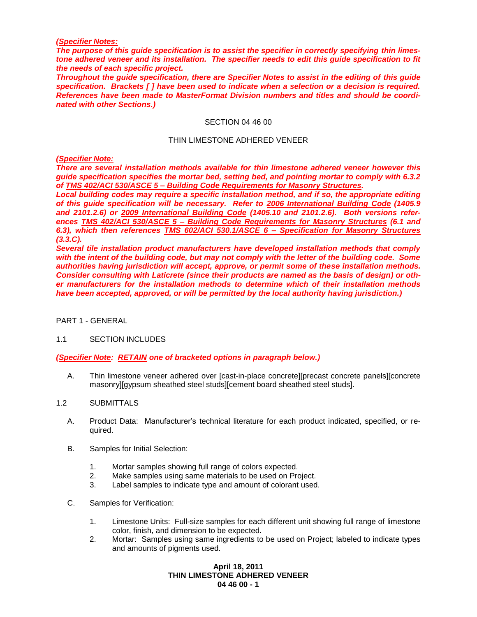#### *(Specifier Notes:*

*The purpose of this guide specification is to assist the specifier in correctly specifying thin limestone adhered veneer and its installation. The specifier needs to edit this guide specification to fit the needs of each specific project.* 

*Throughout the guide specification, there are Specifier Notes to assist in the editing of this guide specification. Brackets [ ] have been used to indicate when a selection or a decision is required. References have been made to MasterFormat Division numbers and titles and should be coordinated with other Sections.)*

#### SECTION 04 46 00

#### THIN LIMESTONE ADHERED VENEER

*(Specifier Note:* 

*There are several installation methods available for thin limestone adhered veneer however this guide specification specifies the mortar bed, setting bed, and pointing mortar to comply with 6.3.2 of TMS 402/ACI 530/ASCE 5 – Building Code Requirements for Masonry Structures.* 

*Local building codes may require a specific installation method, and if so, the appropriate editing of this guide specification will be necessary. Refer to 2006 International Building Code (1405.9 and 2101.2.6) or 2009 International Building Code (1405.10 and 2101.2.6). Both versions references TMS 402/ACI 530/ASCE 5 – Building Code Requirements for Masonry Structures (6.1 and 6.3), which then references TMS 602/ACI 530.1/ASCE 6 – Specification for Masonry Structures (3.3.C).* 

*Several tile installation product manufacturers have developed installation methods that comply with the intent of the building code, but may not comply with the letter of the building code. Some authorities having jurisdiction will accept, approve, or permit some of these installation methods. Consider consulting with Laticrete (since their products are named as the basis of design) or other manufacturers for the installation methods to determine which of their installation methods have been accepted, approved, or will be permitted by the local authority having jurisdiction.)*

PART 1 - GENERAL

### 1.1 SECTION INCLUDES

*(Specifier Note: RETAIN one of bracketed options in paragraph below.)*

A. Thin limestone veneer adhered over [cast-in-place concrete][precast concrete panels][concrete masonry][gypsum sheathed steel studs][cement board sheathed steel studs].

# 1.2 SUBMITTALS

- A. Product Data: Manufacturer's technical literature for each product indicated, specified, or required.
- B. Samples for Initial Selection:
	- 1. Mortar samples showing full range of colors expected.
	- 2. Make samples using same materials to be used on Project.
	- 3. Label samples to indicate type and amount of colorant used.
- C. Samples for Verification:
	- 1. Limestone Units: Full-size samples for each different unit showing full range of limestone color, finish, and dimension to be expected.
	- 2. Mortar: Samples using same ingredients to be used on Project; labeled to indicate types and amounts of pigments used.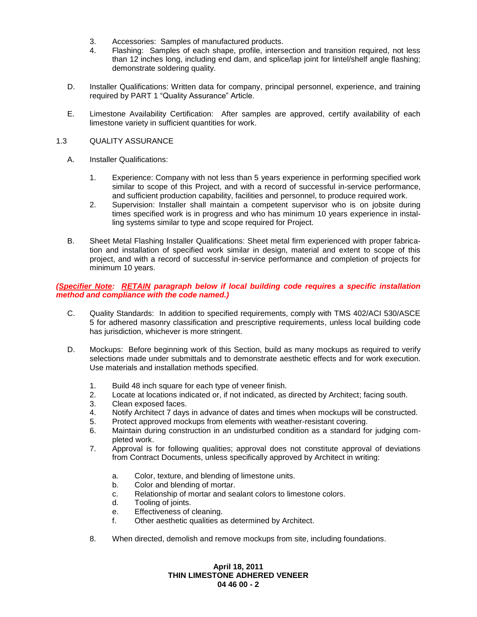- 3. Accessories: Samples of manufactured products.
- 4. Flashing: Samples of each shape, profile, intersection and transition required, not less than 12 inches long, including end dam, and splice/lap joint for lintel/shelf angle flashing; demonstrate soldering quality.
- D. Installer Qualifications: Written data for company, principal personnel, experience, and training required by PART 1 "Quality Assurance" Article.
- E. Limestone Availability Certification: After samples are approved, certify availability of each limestone variety in sufficient quantities for work.

### 1.3 QUALITY ASSURANCE

- A. Installer Qualifications:
	- 1. Experience: Company with not less than 5 years experience in performing specified work similar to scope of this Project, and with a record of successful in-service performance, and sufficient production capability, facilities and personnel, to produce required work.
	- 2. Supervision: Installer shall maintain a competent supervisor who is on jobsite during times specified work is in progress and who has minimum 10 years experience in installing systems similar to type and scope required for Project.
- B. Sheet Metal Flashing Installer Qualifications: Sheet metal firm experienced with proper fabrication and installation of specified work similar in design, material and extent to scope of this project, and with a record of successful in-service performance and completion of projects for minimum 10 years.

## *(Specifier Note: RETAIN paragraph below if local building code requires a specific installation method and compliance with the code named.)*

- C. Quality Standards: In addition to specified requirements, comply with TMS 402/ACI 530/ASCE 5 for adhered masonry classification and prescriptive requirements, unless local building code has jurisdiction, whichever is more stringent.
- D. Mockups: Before beginning work of this Section, build as many mockups as required to verify selections made under submittals and to demonstrate aesthetic effects and for work execution. Use materials and installation methods specified.
	- 1. Build 48 inch square for each type of veneer finish.
	- 2. Locate at locations indicated or, if not indicated, as directed by Architect; facing south.
	- 3. Clean exposed faces.
	- 4. Notify Architect 7 days in advance of dates and times when mockups will be constructed.
	- 5. Protect approved mockups from elements with weather-resistant covering.
	- 6. Maintain during construction in an undisturbed condition as a standard for judging completed work.
	- 7. Approval is for following qualities; approval does not constitute approval of deviations from Contract Documents, unless specifically approved by Architect in writing:
		- a. Color, texture, and blending of limestone units.
		- b. Color and blending of mortar.
		- c. Relationship of mortar and sealant colors to limestone colors.
		- d. Tooling of joints.
		- e. Effectiveness of cleaning.
		- f. Other aesthetic qualities as determined by Architect.
	- 8. When directed, demolish and remove mockups from site, including foundations.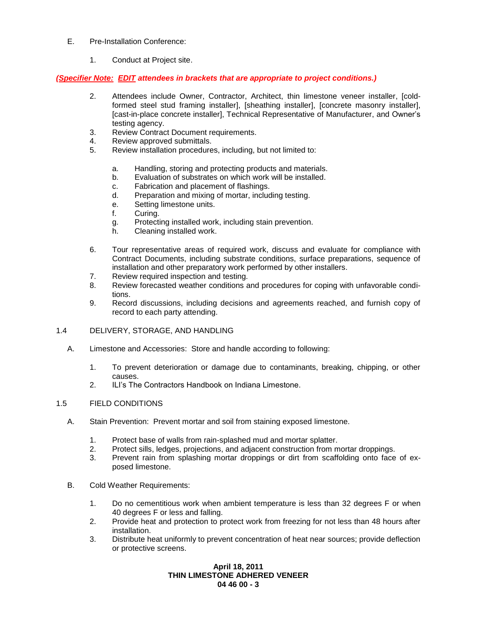- E. Pre-Installation Conference:
	- 1. Conduct at Project site.

## *(Specifier Note: EDIT attendees in brackets that are appropriate to project conditions.)*

- 2. Attendees include Owner, Contractor, Architect, thin limestone veneer installer, [coldformed steel stud framing installer], [sheathing installer], [concrete masonry installer], [cast-in-place concrete installer], Technical Representative of Manufacturer, and Owner's testing agency.
- 3. Review Contract Document requirements.
- 4. Review approved submittals.
- 5. Review installation procedures, including, but not limited to:
	- a. Handling, storing and protecting products and materials.
	- b. Evaluation of substrates on which work will be installed.
	- c. Fabrication and placement of flashings.
	- d. Preparation and mixing of mortar, including testing.
	- e. Setting limestone units.
	- f. Curing.
	- g. Protecting installed work, including stain prevention.
	- h. Cleaning installed work.
- 6. Tour representative areas of required work, discuss and evaluate for compliance with Contract Documents, including substrate conditions, surface preparations, sequence of installation and other preparatory work performed by other installers.
- 7. Review required inspection and testing.
- 8. Review forecasted weather conditions and procedures for coping with unfavorable conditions.
- 9. Record discussions, including decisions and agreements reached, and furnish copy of record to each party attending.

## 1.4 DELIVERY, STORAGE, AND HANDLING

- A. Limestone and Accessories: Store and handle according to following:
	- 1. To prevent deterioration or damage due to contaminants, breaking, chipping, or other causes.
	- 2. ILI's The Contractors Handbook on Indiana Limestone.

### 1.5 FIELD CONDITIONS

- A. Stain Prevention: Prevent mortar and soil from staining exposed limestone.
	- 1. Protect base of walls from rain-splashed mud and mortar splatter.
	- 2. Protect sills, ledges, projections, and adjacent construction from mortar droppings.
	- 3. Prevent rain from splashing mortar droppings or dirt from scaffolding onto face of exposed limestone.
- B. Cold Weather Requirements:
	- 1. Do no cementitious work when ambient temperature is less than 32 degrees F or when 40 degrees F or less and falling.
	- 2. Provide heat and protection to protect work from freezing for not less than 48 hours after installation.
	- 3. Distribute heat uniformly to prevent concentration of heat near sources; provide deflection or protective screens.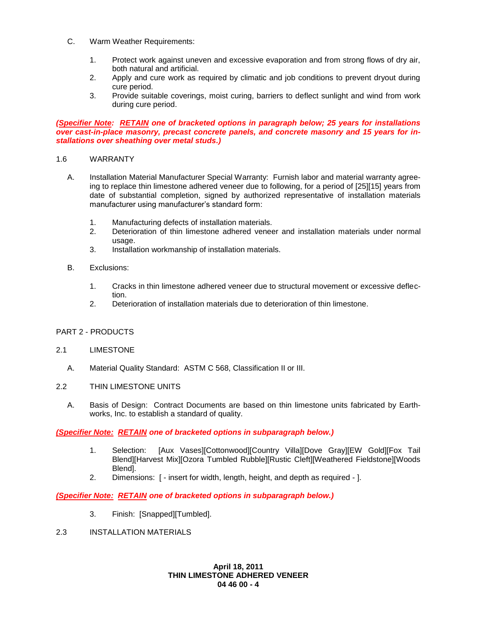- C. Warm Weather Requirements:
	- 1. Protect work against uneven and excessive evaporation and from strong flows of dry air, both natural and artificial.
	- 2. Apply and cure work as required by climatic and job conditions to prevent dryout during cure period.
	- 3. Provide suitable coverings, moist curing, barriers to deflect sunlight and wind from work during cure period.

### *(Specifier Note: RETAIN one of bracketed options in paragraph below; 25 years for installations over cast-in-place masonry, precast concrete panels, and concrete masonry and 15 years for installations over sheathing over metal studs.)*

## 1.6 WARRANTY

- A. Installation Material Manufacturer Special Warranty: Furnish labor and material warranty agreeing to replace thin limestone adhered veneer due to following, for a period of [25][15] years from date of substantial completion, signed by authorized representative of installation materials manufacturer using manufacturer's standard form:
	- 1. Manufacturing defects of installation materials.
	- 2. Deterioration of thin limestone adhered veneer and installation materials under normal usage.
	- 3. Installation workmanship of installation materials.
- B. Exclusions:
	- 1. Cracks in thin limestone adhered veneer due to structural movement or excessive deflection.
	- 2. Deterioration of installation materials due to deterioration of thin limestone.

# PART 2 - PRODUCTS

### 2.1 LIMESTONE

A. Material Quality Standard: ASTM C 568, Classification II or III.

## 2.2 THIN LIMESTONE UNITS

A. Basis of Design: Contract Documents are based on thin limestone units fabricated by Earthworks, Inc. to establish a standard of quality.

### *(Specifier Note: RETAIN one of bracketed options in subparagraph below.)*

- 1. Selection: [Aux Vases][Cottonwood][Country Villa][Dove Gray][EW Gold][Fox Tail Blend][Harvest Mix][Ozora Tumbled Rubble][Rustic Cleft][Weathered Fieldstone][Woods Blend].
- 2. Dimensions: [ insert for width, length, height, and depth as required ].

# *(Specifier Note: RETAIN one of bracketed options in subparagraph below.)*

- 3. Finish: [Snapped][Tumbled].
- 2.3 INSTALLATION MATERIALS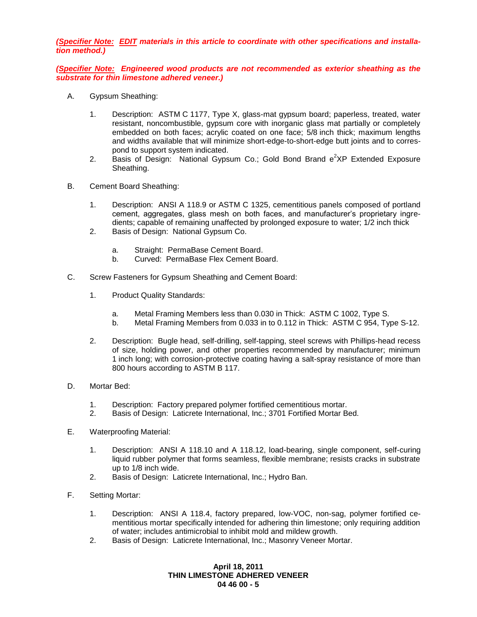*(Specifier Note: EDIT materials in this article to coordinate with other specifications and installation method.)*

*(Specifier Note: Engineered wood products are not recommended as exterior sheathing as the substrate for thin limestone adhered veneer.)*

- A. Gypsum Sheathing:
	- 1. Description: ASTM C 1177, Type X, glass-mat gypsum board; paperless, treated, water resistant, noncombustible, gypsum core with inorganic glass mat partially or completely embedded on both faces; acrylic coated on one face; 5/8 inch thick; maximum lengths and widths available that will minimize short-edge-to-short-edge butt joints and to correspond to support system indicated.
	- 2. Basis of Design: National Gypsum Co.; Gold Bond Brand  $e^2XP$  Extended Exposure Sheathing.
- B. Cement Board Sheathing:
	- 1. Description: ANSI A 118.9 or ASTM C 1325, cementitious panels composed of portland cement, aggregates, glass mesh on both faces, and manufacturer's proprietary ingredients; capable of remaining unaffected by prolonged exposure to water; 1/2 inch thick
	- 2. Basis of Design: National Gypsum Co.
		- a. Straight: PermaBase Cement Board.
		- b. Curved: PermaBase Flex Cement Board.
- C. Screw Fasteners for Gypsum Sheathing and Cement Board:
	- 1. Product Quality Standards:
		- a. Metal Framing Members less than 0.030 in Thick: ASTM C 1002, Type S.
		- b. Metal Framing Members from 0.033 in to 0.112 in Thick: ASTM C 954, Type S-12.
	- 2. Description: Bugle head, self-drilling, self-tapping, steel screws with Phillips-head recess of size, holding power, and other properties recommended by manufacturer; minimum 1 inch long; with corrosion-protective coating having a salt-spray resistance of more than 800 hours according to ASTM B 117.
- D. Mortar Bed:
	- 1. Description: Factory prepared polymer fortified cementitious mortar.
	- 2. Basis of Design: Laticrete International, Inc.; 3701 Fortified Mortar Bed.
- E. Waterproofing Material:
	- 1. Description: ANSI A 118.10 and A 118.12, load-bearing, single component, self-curing liquid rubber polymer that forms seamless, flexible membrane; resists cracks in substrate up to 1/8 inch wide.
	- 2. Basis of Design: Laticrete International, Inc.; Hydro Ban.
- F. Setting Mortar:
	- 1. Description: ANSI A 118.4, factory prepared, low-VOC, non-sag, polymer fortified cementitious mortar specifically intended for adhering thin limestone; only requiring addition of water; includes antimicrobial to inhibit mold and mildew growth.
	- 2. Basis of Design: Laticrete International, Inc.; Masonry Veneer Mortar.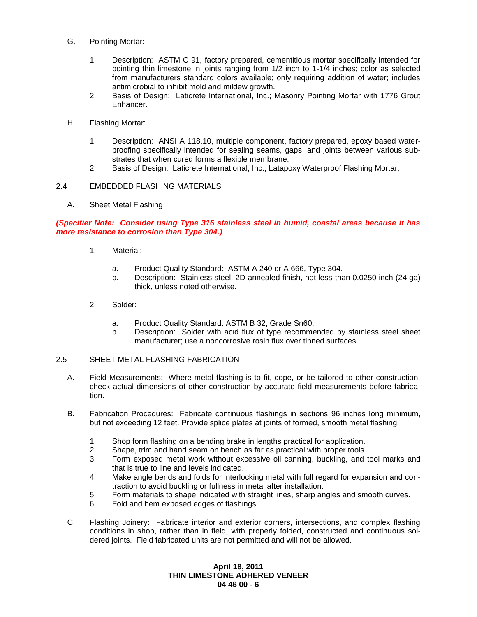- G. Pointing Mortar:
	- 1. Description: ASTM C 91, factory prepared, cementitious mortar specifically intended for pointing thin limestone in joints ranging from 1/2 inch to 1-1/4 inches; color as selected from manufacturers standard colors available; only requiring addition of water; includes antimicrobial to inhibit mold and mildew growth.
	- 2. Basis of Design: Laticrete International, Inc.; Masonry Pointing Mortar with 1776 Grout Enhancer.
- H. Flashing Mortar:
	- 1. Description: ANSI A 118.10, multiple component, factory prepared, epoxy based waterproofing specifically intended for sealing seams, gaps, and joints between various substrates that when cured forms a flexible membrane.
	- 2. Basis of Design: Laticrete International, Inc.; Latapoxy Waterproof Flashing Mortar.

## 2.4 EMBEDDED FLASHING MATERIALS

A. Sheet Metal Flashing

## *(Specifier Note: Consider using Type 316 stainless steel in humid, coastal areas because it has more resistance to corrosion than Type 304.)*

- 1. Material:
	- a. Product Quality Standard: ASTM A 240 or A 666, Type 304.
	- b. Description: Stainless steel, 2D annealed finish, not less than 0.0250 inch (24 ga) thick, unless noted otherwise.
- 2. Solder:
	- a. Product Quality Standard: ASTM B 32, Grade Sn60.
	- b. Description: Solder with acid flux of type recommended by stainless steel sheet manufacturer; use a noncorrosive rosin flux over tinned surfaces.

# 2.5 SHEET METAL FLASHING FABRICATION

- A. Field Measurements: Where metal flashing is to fit, cope, or be tailored to other construction, check actual dimensions of other construction by accurate field measurements before fabrication.
- B. Fabrication Procedures: Fabricate continuous flashings in sections 96 inches long minimum, but not exceeding 12 feet. Provide splice plates at joints of formed, smooth metal flashing.
	- 1. Shop form flashing on a bending brake in lengths practical for application.
	- 2. Shape, trim and hand seam on bench as far as practical with proper tools.
	- 3. Form exposed metal work without excessive oil canning, buckling, and tool marks and that is true to line and levels indicated.
	- 4. Make angle bends and folds for interlocking metal with full regard for expansion and contraction to avoid buckling or fullness in metal after installation.
	- 5. Form materials to shape indicated with straight lines, sharp angles and smooth curves.
	- 6. Fold and hem exposed edges of flashings.
- C. Flashing Joinery: Fabricate interior and exterior corners, intersections, and complex flashing conditions in shop, rather than in field, with properly folded, constructed and continuous soldered joints. Field fabricated units are not permitted and will not be allowed.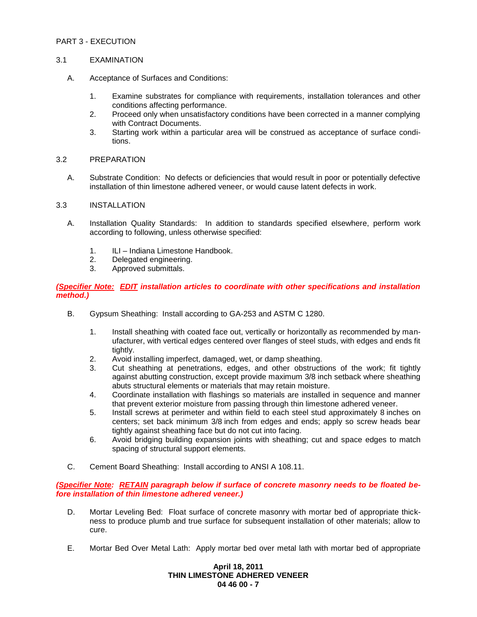## PART 3 - EXECUTION

### 3.1 EXAMINATION

- A. Acceptance of Surfaces and Conditions:
	- 1. Examine substrates for compliance with requirements, installation tolerances and other conditions affecting performance.
	- 2. Proceed only when unsatisfactory conditions have been corrected in a manner complying with Contract Documents.
	- 3. Starting work within a particular area will be construed as acceptance of surface conditions.
- 3.2 PREPARATION
	- A. Substrate Condition: No defects or deficiencies that would result in poor or potentially defective installation of thin limestone adhered veneer, or would cause latent defects in work.

## 3.3 INSTALLATION

- A. Installation Quality Standards: In addition to standards specified elsewhere, perform work according to following, unless otherwise specified:
	- 1. ILI Indiana Limestone Handbook.
	- 2. Delegated engineering.
	- 3. Approved submittals.

### *(Specifier Note: EDIT installation articles to coordinate with other specifications and installation method.)*

- B. Gypsum Sheathing: Install according to GA-253 and ASTM C 1280.
	- 1. Install sheathing with coated face out, vertically or horizontally as recommended by manufacturer, with vertical edges centered over flanges of steel studs, with edges and ends fit tightly.
	- 2. Avoid installing imperfect, damaged, wet, or damp sheathing.
	- 3. Cut sheathing at penetrations, edges, and other obstructions of the work; fit tightly against abutting construction, except provide maximum 3/8 inch setback where sheathing abuts structural elements or materials that may retain moisture.
	- 4. Coordinate installation with flashings so materials are installed in sequence and manner that prevent exterior moisture from passing through thin limestone adhered veneer.
	- 5. Install screws at perimeter and within field to each steel stud approximately 8 inches on centers; set back minimum 3/8 inch from edges and ends; apply so screw heads bear tightly against sheathing face but do not cut into facing.
	- 6. Avoid bridging building expansion joints with sheathing; cut and space edges to match spacing of structural support elements.
- C. Cement Board Sheathing: Install according to ANSI A 108.11.

*(Specifier Note: RETAIN paragraph below if surface of concrete masonry needs to be floated before installation of thin limestone adhered veneer.)*

- D. Mortar Leveling Bed: Float surface of concrete masonry with mortar bed of appropriate thickness to produce plumb and true surface for subsequent installation of other materials; allow to cure.
- E. Mortar Bed Over Metal Lath: Apply mortar bed over metal lath with mortar bed of appropriate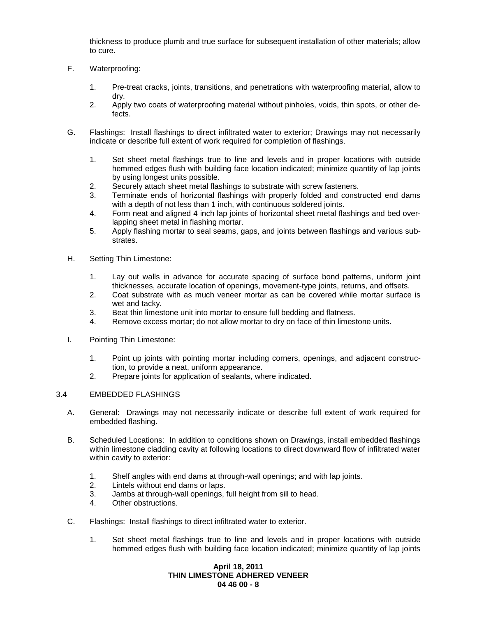thickness to produce plumb and true surface for subsequent installation of other materials; allow to cure.

- F. Waterproofing:
	- 1. Pre-treat cracks, joints, transitions, and penetrations with waterproofing material, allow to dry.
	- 2. Apply two coats of waterproofing material without pinholes, voids, thin spots, or other defects.
- G. Flashings: Install flashings to direct infiltrated water to exterior; Drawings may not necessarily indicate or describe full extent of work required for completion of flashings.
	- 1. Set sheet metal flashings true to line and levels and in proper locations with outside hemmed edges flush with building face location indicated; minimize quantity of lap joints by using longest units possible.
	- 2. Securely attach sheet metal flashings to substrate with screw fasteners.
	- 3. Terminate ends of horizontal flashings with properly folded and constructed end dams with a depth of not less than 1 inch, with continuous soldered joints.
	- 4. Form neat and aligned 4 inch lap joints of horizontal sheet metal flashings and bed overlapping sheet metal in flashing mortar.
	- 5. Apply flashing mortar to seal seams, gaps, and joints between flashings and various substrates.
- H. Setting Thin Limestone:
	- 1. Lay out walls in advance for accurate spacing of surface bond patterns, uniform joint thicknesses, accurate location of openings, movement-type joints, returns, and offsets.
	- 2. Coat substrate with as much veneer mortar as can be covered while mortar surface is wet and tacky.
	- 3. Beat thin limestone unit into mortar to ensure full bedding and flatness.
	- 4. Remove excess mortar; do not allow mortar to dry on face of thin limestone units.
- I. Pointing Thin Limestone:
	- 1. Point up joints with pointing mortar including corners, openings, and adjacent construction, to provide a neat, uniform appearance.
	- 2. Prepare joints for application of sealants, where indicated.

### 3.4 EMBEDDED FLASHINGS

- A. General: Drawings may not necessarily indicate or describe full extent of work required for embedded flashing.
- B. Scheduled Locations: In addition to conditions shown on Drawings, install embedded flashings within limestone cladding cavity at following locations to direct downward flow of infiltrated water within cavity to exterior:
	- 1. Shelf angles with end dams at through-wall openings; and with lap joints.
	- 2. Lintels without end dams or laps.
	- 3. Jambs at through-wall openings, full height from sill to head.
	- 4. Other obstructions.
- C. Flashings: Install flashings to direct infiltrated water to exterior.
	- 1. Set sheet metal flashings true to line and levels and in proper locations with outside hemmed edges flush with building face location indicated; minimize quantity of lap joints